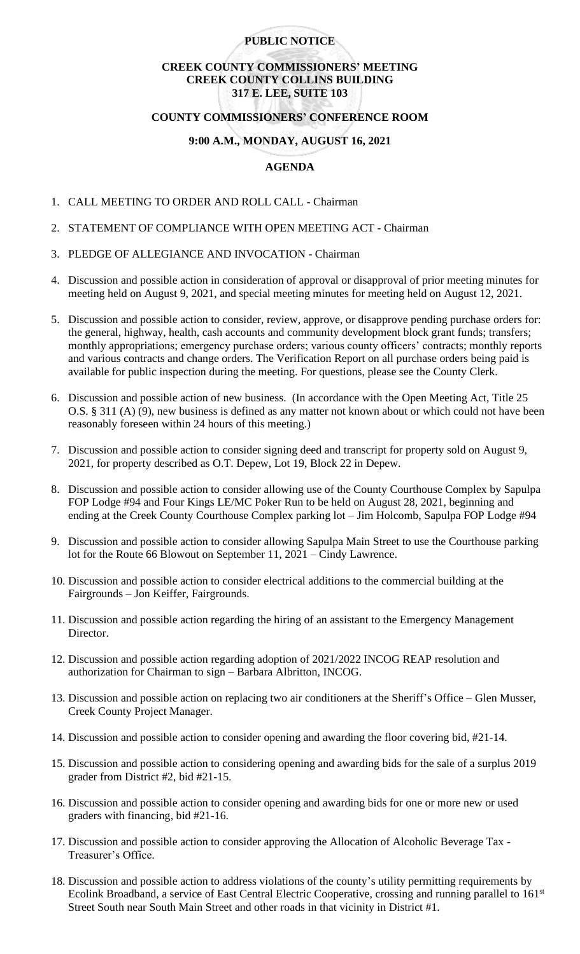## **PUBLIC NOTICE**

# **CREEK COUNTY COMMISSIONERS' MEETING CREEK COUNTY COLLINS BUILDING 317 E. LEE, SUITE 103**

## **COUNTY COMMISSIONERS' CONFERENCE ROOM**

## **9:00 A.M., MONDAY, AUGUST 16, 2021**

## **AGENDA**

- 1. CALL MEETING TO ORDER AND ROLL CALL Chairman
- 2. STATEMENT OF COMPLIANCE WITH OPEN MEETING ACT Chairman
- 3. PLEDGE OF ALLEGIANCE AND INVOCATION Chairman
- 4. Discussion and possible action in consideration of approval or disapproval of prior meeting minutes for meeting held on August 9, 2021, and special meeting minutes for meeting held on August 12, 2021.
- 5. Discussion and possible action to consider, review, approve, or disapprove pending purchase orders for: the general, highway, health, cash accounts and community development block grant funds; transfers; monthly appropriations; emergency purchase orders; various county officers' contracts; monthly reports and various contracts and change orders. The Verification Report on all purchase orders being paid is available for public inspection during the meeting. For questions, please see the County Clerk.
- 6. Discussion and possible action of new business. (In accordance with the Open Meeting Act, Title 25 O.S. § 311 (A) (9), new business is defined as any matter not known about or which could not have been reasonably foreseen within 24 hours of this meeting.)
- 7. Discussion and possible action to consider signing deed and transcript for property sold on August 9, 2021, for property described as O.T. Depew, Lot 19, Block 22 in Depew.
- 8. Discussion and possible action to consider allowing use of the County Courthouse Complex by Sapulpa FOP Lodge #94 and Four Kings LE/MC Poker Run to be held on August 28, 2021, beginning and ending at the Creek County Courthouse Complex parking lot – Jim Holcomb, Sapulpa FOP Lodge #94
- 9. Discussion and possible action to consider allowing Sapulpa Main Street to use the Courthouse parking lot for the Route 66 Blowout on September 11, 2021 – Cindy Lawrence.
- 10. Discussion and possible action to consider electrical additions to the commercial building at the Fairgrounds – Jon Keiffer, Fairgrounds.
- 11. Discussion and possible action regarding the hiring of an assistant to the Emergency Management Director.
- 12. Discussion and possible action regarding adoption of 2021/2022 INCOG REAP resolution and authorization for Chairman to sign – Barbara Albritton, INCOG.
- 13. Discussion and possible action on replacing two air conditioners at the Sheriff's Office Glen Musser, Creek County Project Manager.
- 14. Discussion and possible action to consider opening and awarding the floor covering bid, #21-14.
- 15. Discussion and possible action to considering opening and awarding bids for the sale of a surplus 2019 grader from District #2, bid #21-15.
- 16. Discussion and possible action to consider opening and awarding bids for one or more new or used graders with financing, bid #21-16.
- 17. Discussion and possible action to consider approving the Allocation of Alcoholic Beverage Tax Treasurer's Office.
- 18. Discussion and possible action to address violations of the county's utility permitting requirements by Ecolink Broadband, a service of East Central Electric Cooperative, crossing and running parallel to 161<sup>st</sup> Street South near South Main Street and other roads in that vicinity in District #1.